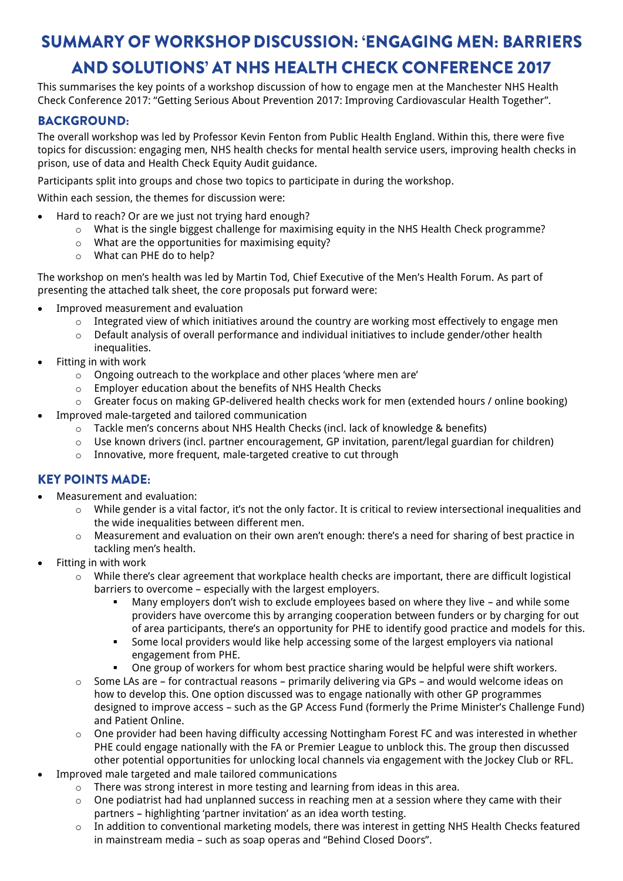## **SUMMARY OF WORKSHOP DISCUSSION: 'ENGAGING MEN: BARRIERS AND SOLUTIONS' AT NHS HEALTH CHECK CONFERENCE 2017**

This summarises the key points of a workshop discussion of how to engage men at the Manchester NHS Health Check Conference 2017: "Getting Serious About Prevention 2017: Improving Cardiovascular Health Together".

#### **BACKGROUND:**

The overall workshop was led by Professor Kevin Fenton from Public Health England. Within this, there were five topics for discussion: engaging men, NHS health checks for mental health service users, improving health checks in prison, use of data and Health Check Equity Audit guidance.

Participants split into groups and chose two topics to participate in during the workshop.

Within each session, the themes for discussion were:

- Hard to reach? Or are we just not trying hard enough?
	- $\circ$  What is the single biggest challenge for maximising equity in the NHS Health Check programme?
	- o What are the opportunities for maximising equity?
	- o What can PHE do to help?

The workshop on men's health was led by Martin Tod, Chief Executive of the Men's Health Forum. As part of presenting the attached talk sheet, the core proposals put forward were:

- Improved measurement and evaluation
	- $\circ$  Integrated view of which initiatives around the country are working most effectively to engage men
	- $\circ$  Default analysis of overall performance and individual initiatives to include gender/other health inequalities.
- Fitting in with work
	- o Ongoing outreach to the workplace and other places 'where men are'
	- o Employer education about the benefits of NHS Health Checks
	- o Greater focus on making GP-delivered health checks work for men (extended hours / online booking)
	- Improved male-targeted and tailored communication
		- o Tackle men's concerns about NHS Health Checks (incl. lack of knowledge & benefits)
		- $\circ$  Use known drivers (incl. partner encouragement, GP invitation, parent/legal guardian for children)
		- $\circ$  Innovative, more frequent, male-targeted creative to cut through

#### **KEY POINTS MADE:**

- Measurement and evaluation:
	- o While gender is a vital factor, it's not the only factor. It is critical to review intersectional inequalities and the wide inequalities between different men.
	- o Measurement and evaluation on their own aren't enough: there's a need for sharing of best practice in tackling men's health.
- Fitting in with work
	- $\circ$  While there's clear agreement that workplace health checks are important, there are difficult logistical barriers to overcome – especially with the largest employers.
		- Many employers don't wish to exclude employees based on where they live and while some providers have overcome this by arranging cooperation between funders or by charging for out of area participants, there's an opportunity for PHE to identify good practice and models for this.
		- Some local providers would like help accessing some of the largest employers via national engagement from PHE.
		- One group of workers for whom best practice sharing would be helpful were shift workers.
	- o Some LAs are for contractual reasons primarily delivering via GPs and would welcome ideas on how to develop this. One option discussed was to engage nationally with other GP programmes designed to improve access – such as the GP Access Fund (formerly the Prime Minister's Challenge Fund) and Patient Online.
	- $\circ$  One provider had been having difficulty accessing Nottingham Forest FC and was interested in whether PHE could engage nationally with the FA or Premier League to unblock this. The group then discussed other potential opportunities for unlocking local channels via engagement with the Jockey Club or RFL.
- Improved male targeted and male tailored communications
	- o There was strong interest in more testing and learning from ideas in this area.
	- $\circ$  One podiatrist had had unplanned success in reaching men at a session where they came with their partners – highlighting 'partner invitation' as an idea worth testing.
	- o In addition to conventional marketing models, there was interest in getting NHS Health Checks featured in mainstream media – such as soap operas and "Behind Closed Doors".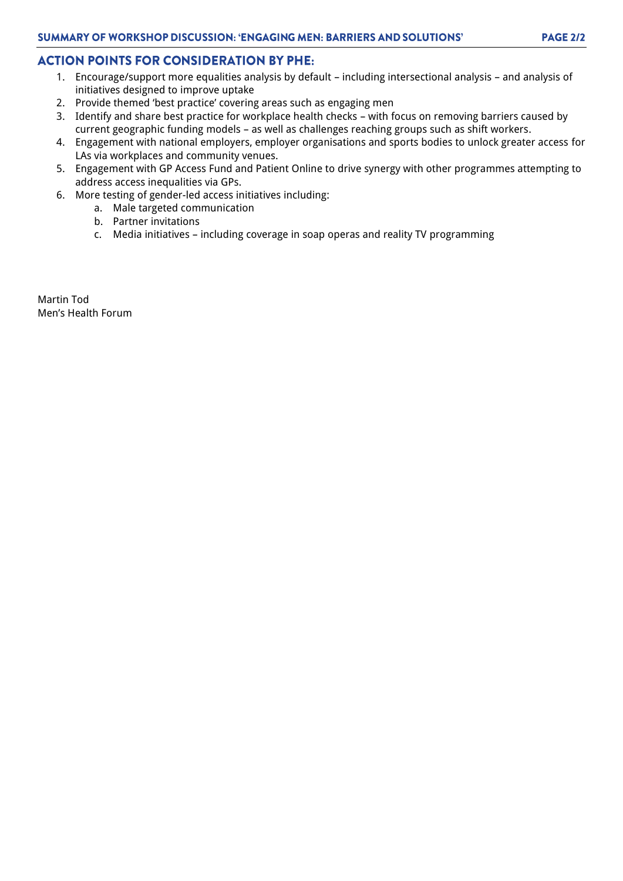#### **ACTION POINTS FOR CONSIDERATION BY PHE:**

- 1. Encourage/support more equalities analysis by default including intersectional analysis and analysis of initiatives designed to improve uptake
- 2. Provide themed 'best practice' covering areas such as engaging men
- 3. Identify and share best practice for workplace health checks with focus on removing barriers caused by current geographic funding models – as well as challenges reaching groups such as shift workers.
- 4. Engagement with national employers, employer organisations and sports bodies to unlock greater access for LAs via workplaces and community venues.
- 5. Engagement with GP Access Fund and Patient Online to drive synergy with other programmes attempting to address access inequalities via GPs.
- 6. More testing of gender-led access initiatives including:
	- a. Male targeted communication
	- b. Partner invitations
	- c. Media initiatives including coverage in soap operas and reality TV programming

Martin Tod Men's Health Forum